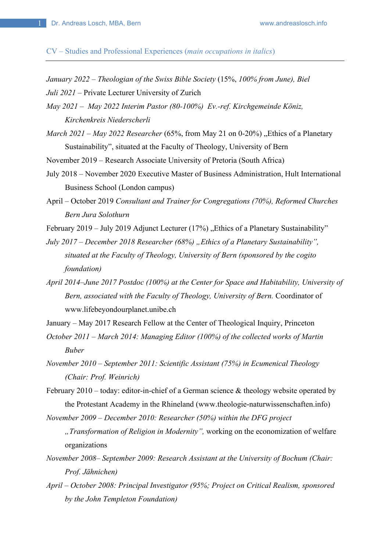CV – Studies and Professional Experiences (*main occupations in italics*)

*January 2022 – Theologian of the Swiss Bible Society* (15%, *100% from June), Biel*

*Juli 2021 –* Private Lecturer University of Zurich

*May 2021 – May 2022 Interim Pastor (80-100%) Ev.-ref. Kirchgemeinde Köniz, Kirchenkreis Niederscherli* 

*March 2021 – May 2022 Researcher* (65%, from May 21 on 0-20%) "Ethics of a Planetary Sustainability", situated at the Faculty of Theology, University of Bern

November 2019 – Research Associate University of Pretoria (South Africa)

- July 2018 November 2020 Executive Master of Business Administration, Hult International Business School (London campus)
- April October 2019 *Consultant and Trainer for Congregations (70%), Reformed Churches Bern Jura Solothurn*
- February 2019 July 2019 Adjunct Lecturer  $(17%)$ , Ethics of a Planetary Sustainability"

*July 2017 – December 2018 Researcher (68%) "Ethics of a Planetary Sustainability", situated at the Faculty of Theology, University of Bern (sponsored by the cogito foundation)* 

*April 2014–June 2017 Postdoc (100%) at the Center for Space and Habitability, University of Bern, associated with the Faculty of Theology, University of Bern.* Coordinator of www.lifebeyondourplanet.unibe.ch

January – May 2017 Research Fellow at the Center of Theological Inquiry, Princeton

- *October 2011 March 2014: Managing Editor (100%) of the collected works of Martin Buber*
- *November 2010 September 2011: Scientific Assistant (75%) in Ecumenical Theology (Chair: Prof. Weinrich)*
- February 2010 today: editor-in-chief of a German science & theology website operated by the Protestant Academy in the Rhineland (www.theologie-naturwissenschaften.info)

*November 2009 – December 2010: Researcher (50%) within the DFG project* 

*"Transformation of Religion in Modernity",* working on the economization of welfare organizations

- *November 2008– September 2009: Research Assistant at the University of Bochum (Chair: Prof. Jähnichen)*
- *April October 2008: Principal Investigator (95%; Project on Critical Realism, sponsored by the John Templeton Foundation)*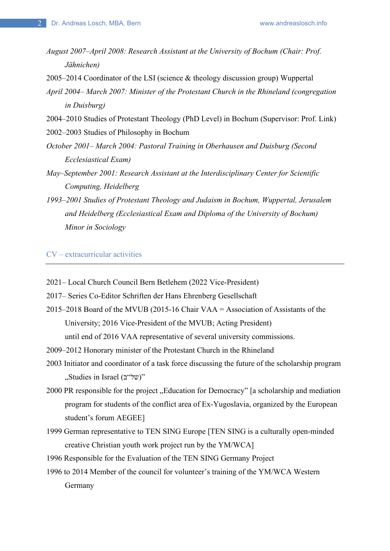*August 2007–April 2008: Research Assistant at the University of Bochum (Chair: Prof. Jähnichen)* 

2005–2014 Coordinator of the LSI (science & theology discussion group) Wuppertal

- *April 2004– March 2007: Minister of the Protestant Church in the Rhineland (congregation in Duisburg)*
- 2004–2010 Studies of Protestant Theology (PhD Level) in Bochum (Supervisor: Prof. Link)

2002–2003 Studies of Philosophy in Bochum

- *October 2001– March 2004: Pastoral Training in Oberhausen and Duisburg (Second Ecclesiastical Exam)*
- *May–September 2001: Research Assistant at the Interdisciplinary Center for Scientific Computing, Heidelberg*
- *1993–2001 Studies of Protestant Theology and Judaism in Bochum, Wuppertal, Jerusalem and Heidelberg (Ecclesiastical Exam and Diploma of the University of Bochum) Minor in Sociology*

CV – extracurricular activities

- 2021– Local Church Council Bern Betlehem (2022 Vice-President)
- 2017– Series Co-Editor Schriften der Hans Ehrenberg Gesellschaft
- 2015–2018 Board of the MVUB (2015-16 Chair VAA = Association of Assistants of the University; 2016 Vice-President of the MVUB; Acting President) until end of 2016 VAA representative of several university commissions.
- 2009–2012 Honorary minister of the Protestant Church in the Rhineland
- 2003 Initiator and coordinator of a task force discussing the future of the scholarship program "Studies in Israel (של"ב)"
- 2000 PR responsible for the project "Education for Democracy" [a scholarship and mediation program for students of the conflict area of Ex-Yugoslavia, organized by the European student's forum AEGEE]
- 1999 German representative to TEN SING Europe [TEN SING is a culturally open-minded creative Christian youth work project run by the YM/WCA]
- 1996 Responsible for the Evaluation of the TEN SING Germany Project
- 1996 to 2014 Member of the council for volunteer's training of the YM/WCA Western Germany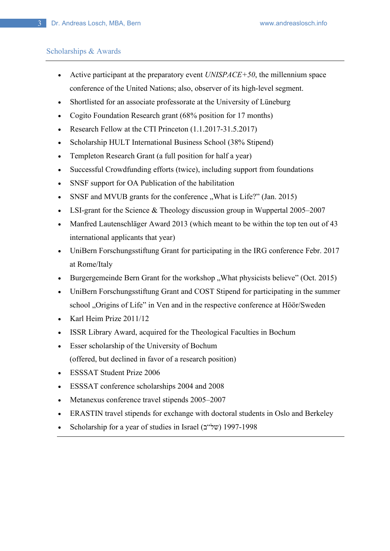### Scholarships & Awards

- Active participant at the preparatory event *UNISPACE+50*, the millennium space conference of the United Nations; also, observer of its high-level segment.
- Shortlisted for an associate professorate at the University of Lüneburg
- Cogito Foundation Research grant (68% position for 17 months)
- Research Fellow at the CTI Princeton (1.1.2017-31.5.2017)
- Scholarship HULT International Business School (38% Stipend)
- Templeton Research Grant (a full position for half a year)
- Successful Crowdfunding efforts (twice), including support from foundations
- SNSF support for OA Publication of the habilitation
- SNSF and MVUB grants for the conference "What is Life?" (Jan. 2015)
- LSI-grant for the Science & Theology discussion group in Wuppertal 2005–2007
- Manfred Lautenschläger Award 2013 (which meant to be within the top ten out of 43 international applicants that year)
- UniBern Forschungsstiftung Grant for participating in the IRG conference Febr. 2017 at Rome/Italy
- Burgergemeinde Bern Grant for the workshop "What physicists believe" (Oct. 2015)
- UniBern Forschungsstiftung Grant and COST Stipend for participating in the summer school "Origins of Life" in Ven and in the respective conference at Höör/Sweden
- Karl Heim Prize 2011/12
- ISSR Library Award, acquired for the Theological Faculties in Bochum
- Esser scholarship of the University of Bochum (offered, but declined in favor of a research position)
- ESSSAT Student Prize 2006
- ESSSAT conference scholarships 2004 and 2008
- Metanexus conference travel stipends 2005–2007
- ERASTIN travel stipends for exchange with doctoral students in Oslo and Berkeley
- Scholarship for a year of studies in Israel (של"ב) 1997-1998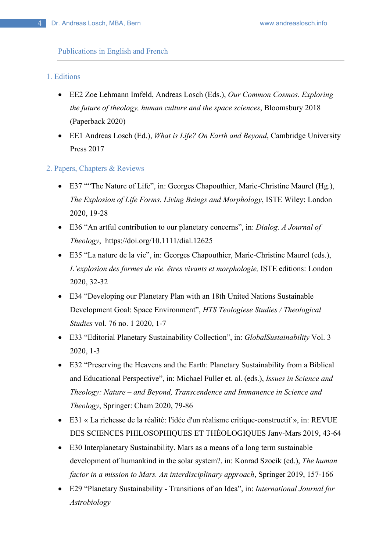#### Publications in English and French

## 1. Editions

- EE2 Zoe Lehmann Imfeld, Andreas Losch (Eds.), *Our Common Cosmos. Exploring the future of theology, human culture and the space sciences*, Bloomsbury 2018 (Paperback 2020)
- EE1 Andreas Losch (Ed.), *What is Life? On Earth and Beyond*, Cambridge University Press 2017
- 2. Papers, Chapters & Reviews
	- E37 ""The Nature of Life", in: Georges Chapouthier, Marie-Christine Maurel (Hg.), *The Explosion of Life Forms. Living Beings and Morphology*, ISTE Wiley: London 2020, 19-28
	- E36 "An artful contribution to our planetary concerns", in: *Dialog. A Journal of Theology*, https://doi.org/10.1111/dial.12625
	- E35 "La nature de la vie", in: Georges Chapouthier, Marie-Christine Maurel (eds.), *L'explosion des formes de vie. êtres vivants et morphologie,* ISTE editions: London 2020, 32-32
	- E34 "Developing our Planetary Plan with an 18th United Nations Sustainable Development Goal: Space Environment", *HTS Teologiese Studies / Theological Studies* vol. 76 no. 1 2020, 1-7
	- E33 "Editorial Planetary Sustainability Collection", in: *GlobalSustainability* Vol. 3 2020, 1-3
	- E32 "Preserving the Heavens and the Earth: Planetary Sustainability from a Biblical and Educational Perspective", in: Michael Fuller et. al. (eds.), *Issues in Science and Theology: Nature – and Beyond, Transcendence and Immanence in Science and Theology*, Springer: Cham 2020, 79-86
	- E31 « La richesse de la réalité: l'idée d'un réalisme critique-constructif », in: REVUE DES SCIENCES PHILOSOPHIQUES ET THÉOLOGIQUES Janv-Mars 2019, 43-64
	- E30 Interplanetary Sustainability. Mars as a means of a long term sustainable development of humankind in the solar system?, in: Konrad Szocik (ed.), *The human factor in a mission to Mars. An interdisciplinary approach*, Springer 2019, 157-166
	- E29 "Planetary Sustainability Transitions of an Idea", in: *International Journal for Astrobiology*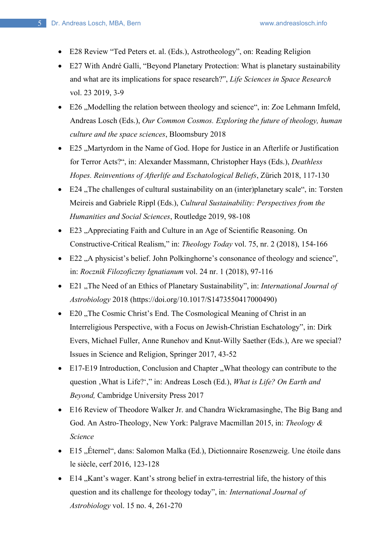- E28 Review "Ted Peters et. al. (Eds.), Astrotheology", on: Reading Religion
- E27 With André Galli, "Beyond Planetary Protection: What is planetary sustainability and what are its implications for space research?", *Life Sciences in Space Research* vol. 23 2019, 3-9
- E26 . Modelling the relation between theology and science", in: Zoe Lehmann Imfeld, Andreas Losch (Eds.), *Our Common Cosmos. Exploring the future of theology, human culture and the space sciences*, Bloomsbury 2018
- E25 ..Martyrdom in the Name of God. Hope for Justice in an Afterlife or Justification for Terror Acts?", in: Alexander Massmann, Christopher Hays (Eds.), *Deathless Hopes. Reinventions of Afterlife and Eschatological Beliefs*, Zürich 2018, 117-130
- E24  $\pi$ The challenges of cultural sustainability on an (inter)planetary scale", in: Torsten Meireis and Gabriele Rippl (Eds.), *Cultural Sustainability: Perspectives from the Humanities and Social Sciences*, Routledge 2019, 98-108
- E23 "Appreciating Faith and Culture in an Age of Scientific Reasoning. On Constructive-Critical Realism," in: *Theology Today* vol. 75, nr. 2 (2018), 154-166
- E22 , A physicist's belief. John Polkinghorne's consonance of theology and science", in: *Rocznik Filozoficzny Ignatianum* vol. 24 nr. 1 (2018), 97-116
- E21 "The Need of an Ethics of Planetary Sustainability", in: *International Journal of Astrobiology* 2018 (https://doi.org/10.1017/S1473550417000490)
- E20 . The Cosmic Christ's End. The Cosmological Meaning of Christ in an Interreligious Perspective, with a Focus on Jewish-Christian Eschatology", in: Dirk Evers, Michael Fuller, Anne Runehov and Knut-Willy Saether (Eds.), Are we special? Issues in Science and Religion, Springer 2017, 43-52
- E17-E19 Introduction, Conclusion and Chapter , What theology can contribute to the question , What is Life?'," in: Andreas Losch (Ed.), *What is Life? On Earth and Beyond,* Cambridge University Press 2017
- E16 Review of Theodore Walker Jr. and Chandra Wickramasinghe, The Big Bang and God. An Astro-Theology, New York: Palgrave Macmillan 2015, in: *Theology & Science*
- E15 "Éternel", dans: Salomon Malka (Ed.), Dictionnaire Rosenzweig. Une étoile dans le siècle, cerf 2016, 123-128
- E14 "Kant's wager. Kant's strong belief in extra-terrestrial life, the history of this question and its challenge for theology today", in*: International Journal of Astrobiology* vol. 15 no. 4, 261-270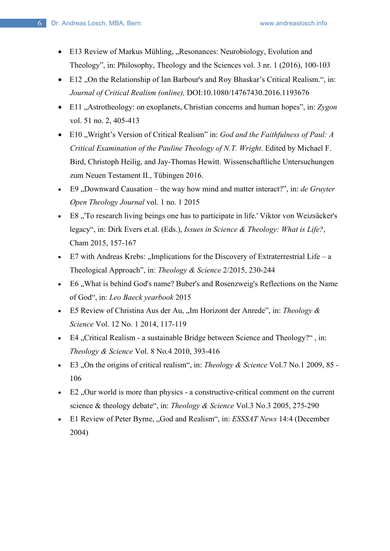- E13 Review of Markus Mühling, "Resonances: Neurobiology, Evolution and Theology", in: Philosophy, Theology and the Sciences vol. 3 nr. 1 (2016), 100-103
- E12 "On the Relationship of Ian Barbour's and Roy Bhaskar's Critical Realism.", in: *Journal of Critical Realism (online),* DOI:10.1080/14767430.2016.1193676
- E11 "Astrotheology: on exoplanets, Christian concerns and human hopes", in: Zygon vol. 51 no. 2, 405-413
- E10 "Wright's Version of Critical Realism" in: *God and the Faithfulness of Paul: A Critical Examination of the Pauline Theology of N.T. Wright*. Edited by Michael F. Bird, Christoph Heilig, and Jay-Thomas Hewitt. Wissenschaftliche Untersuchungen zum Neuen Testament II., Tübingen 2016.
- E9, Downward Causation the way how mind and matter interact?", in: *de Gruyter Open Theology Journal* vol. 1 no. 1 2015
- E8 "To research living beings one has to participate in life.' Viktor von Weizsäcker's legacy", in: Dirk Evers et.al. (Eds.), *Issues in Science & Theology: What is Life?*, Cham 2015, 157-167
- $E7$  with Andreas Krebs: "Implications for the Discovery of Extraterrestrial Life a Theological Approach", in: *Theology & Science* 2/2015, 230-244
- E6, What is behind God's name? Buber's and Rosenzweig's Reflections on the Name of God", in: *Leo Baeck yearbook* 2015
- E5 Review of Christina Aus der Au, "Im Horizont der Anrede", in: *Theology & Science* Vol. 12 No. 1 2014, 117-119
- E4 "Critical Realism a sustainable Bridge between Science and Theology?", in: *Theology & Science* Vol. 8 No.4 2010, 393-416
- E3 "On the origins of critical realism", in: *Theology & Science* Vol.7 No.1 2009, 85 106
- $\bullet$  E2, Our world is more than physics a constructive-critical comment on the current science & theology debate", in: *Theology & Science* Vol.3 No.3 2005, 275-290
- E1 Review of Peter Byrne, "God and Realism", in: *ESSSAT News* 14:4 (December 2004)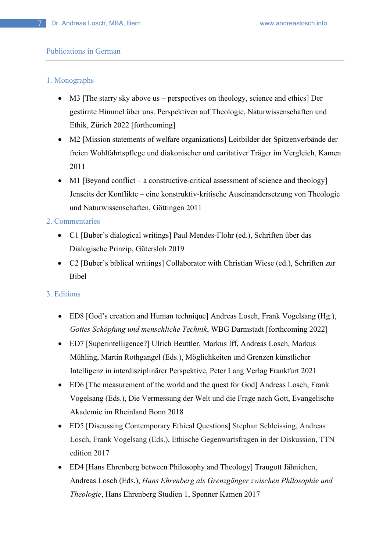### Publications in German

### 1. Monographs

- M3 [The starry sky above us perspectives on theology, science and ethics] Der gestirnte Himmel über uns. Perspektiven auf Theologie, Naturwissenschaften und Ethik, Zürich 2022 [forthcoming]
- M2 [Mission statements of welfare organizations] Leitbilder der Spitzenverbände der freien Wohlfahrtspflege und diakonischer und caritativer Träger im Vergleich, Kamen 2011
- M1 [Beyond conflict a constructive-critical assessment of science and theology] Jenseits der Konflikte – eine konstruktiv-kritische Auseinandersetzung von Theologie und Naturwissenschaften, Göttingen 2011

### 2. Commentaries

- C1 [Buber's dialogical writings] Paul Mendes-Flohr (ed.), Schriften über das Dialogische Prinzip, Gütersloh 2019
- C2 [Buber's biblical writings] Collaborator with Christian Wiese (ed.), Schriften zur Bibel

### 3. Editions

- ED8 [God's creation and Human technique] Andreas Losch, Frank Vogelsang (Hg.), *Gottes Schöpfung und menschliche Technik*, WBG Darmstadt [forthcoming 2022]
- ED7 [Superintelligence?] Ulrich Beuttler, Markus Iff, Andreas Losch, Markus Mühling, Martin Rothgangel (Eds.), Möglichkeiten und Grenzen künstlicher Intelligenz in interdisziplinärer Perspektive, Peter Lang Verlag Frankfurt 2021
- ED6 [The measurement of the world and the quest for God] Andreas Losch, Frank Vogelsang (Eds.), Die Vermessung der Welt und die Frage nach Gott, Evangelische Akademie im Rheinland Bonn 2018
- ED5 [Discussing Contemporary Ethical Questions] Stephan Schleissing, Andreas Losch, Frank Vogelsang (Eds.), Ethische Gegenwartsfragen in der Diskussion, TTN edition 2017
- ED4 [Hans Ehrenberg between Philosophy and Theology] Traugott Jähnichen, Andreas Losch (Eds.), *Hans Ehrenberg als Grenzgänger zwischen Philosophie und Theologie*, Hans Ehrenberg Studien 1, Spenner Kamen 2017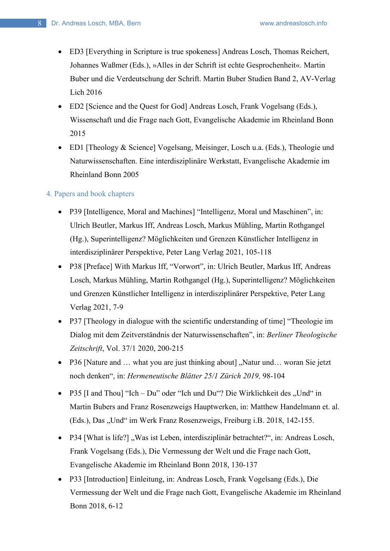- ED3 [Everything in Scripture is true spokeness] Andreas Losch, Thomas Reichert, Johannes Waßmer (Eds.), »Alles in der Schrift ist echte Gesprochenheit«. Martin Buber und die Verdeutschung der Schrift. Martin Buber Studien Band 2, AV-Verlag Lich 2016
- ED2 [Science and the Quest for God] Andreas Losch, Frank Vogelsang (Eds.), Wissenschaft und die Frage nach Gott, Evangelische Akademie im Rheinland Bonn 2015
- ED1 [Theology & Science] Vogelsang, Meisinger, Losch u.a. (Eds.), Theologie und Naturwissenschaften. Eine interdisziplinäre Werkstatt, Evangelische Akademie im Rheinland Bonn 2005

# 4. Papers and book chapters

- P39 [Intelligence, Moral and Machines] "Intelligenz, Moral und Maschinen", in: Ulrich Beutler, Markus Iff, Andreas Losch, Markus Mühling, Martin Rothgangel (Hg.), Superintelligenz? Möglichkeiten und Grenzen Künstlicher Intelligenz in interdisziplinärer Perspektive, Peter Lang Verlag 2021, 105-118
- P38 [Preface] With Markus Iff, "Vorwort", in: Ulrich Beutler, Markus Iff, Andreas Losch, Markus Mühling, Martin Rothgangel (Hg.), Superintelligenz? Möglichkeiten und Grenzen Künstlicher Intelligenz in interdisziplinärer Perspektive, Peter Lang Verlag 2021, 7-9
- P37 [Theology in dialogue with the scientific understanding of time] "Theologie im Dialog mit dem Zeitverständnis der Naturwissenschaften", in: *Berliner Theologische Zeitschrift*, Vol. 37/1 2020, 200-215
- P36 [Nature and ... what you are just thinking about] "Natur und... woran Sie jetzt noch denken", in: *Hermeneutische Blätter 25/1 Zürich 2019,* 98-104
- P35  $\left[$ I and Thou $\right]$  "Ich Du" oder "Ich und Du"? Die Wirklichkeit des "Und" in Martin Bubers and Franz Rosenzweigs Hauptwerken, in: Matthew Handelmann et. al. (Eds.), Das "Und" im Werk Franz Rosenzweigs, Freiburg i.B. 2018, 142-155.
- P34 [What is life?], Was ist Leben, interdisziplinär betrachtet?", in: Andreas Losch, Frank Vogelsang (Eds.), Die Vermessung der Welt und die Frage nach Gott, Evangelische Akademie im Rheinland Bonn 2018, 130-137
- P33 [Introduction] Einleitung, in: Andreas Losch, Frank Vogelsang (Eds.), Die Vermessung der Welt und die Frage nach Gott, Evangelische Akademie im Rheinland Bonn 2018, 6-12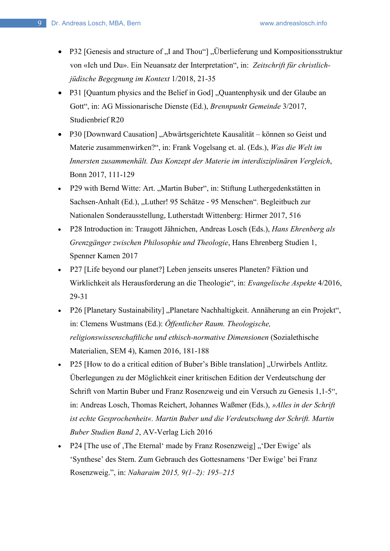- P32 [Genesis and structure of "I and Thou"] "Überlieferung und Kompositionsstruktur von «Ich und Du». Ein Neuansatz der Interpretation", in: *Zeitschrift für christlichjüdische Begegnung im Kontext* 1/2018, 21-35
- P31 [Quantum physics and the Belief in God] "Quantenphysik und der Glaube an Gott", in: AG Missionarische Dienste (Ed.), *Brennpunkt Gemeinde* 3/2017, Studienbrief R20
- P30 [Downward Causation] "Abwärtsgerichtete Kausalität können so Geist und Materie zusammenwirken?", in: Frank Vogelsang et. al. (Eds.), *Was die Welt im Innersten zusammenhält. Das Konzept der Materie im interdisziplinären Vergleich*, Bonn 2017, 111-129
- P29 with Bernd Witte: Art. "Martin Buber", in: Stiftung Luthergedenkstätten in Sachsen-Anhalt (Ed.), "Luther! 95 Schätze - 95 Menschen". Begleitbuch zur Nationalen Sonderausstellung, Lutherstadt Wittenberg: Hirmer 2017, 516
- P28 Introduction in: Traugott Jähnichen, Andreas Losch (Eds.), *Hans Ehrenberg als Grenzgänger zwischen Philosophie und Theologie*, Hans Ehrenberg Studien 1, Spenner Kamen 2017
- P27 [Life beyond our planet?] Leben jenseits unseres Planeten? Fiktion und Wirklichkeit als Herausforderung an die Theologie", in: *Evangelische Aspekte* 4/2016, 29-31
- P26 [Planetary Sustainability] "Planetare Nachhaltigkeit. Annäherung an ein Projekt", in: Clemens Wustmans (Ed.): *Öffentlicher Raum. Theologische, religionswissenschaftliche und ethisch-normative Dimensionen* (Sozialethische Materialien, SEM 4), Kamen 2016, 181-188
- P25 [How to do a critical edition of Buber's Bible translation], Urwirbels Antlitz. Überlegungen zu der Möglichkeit einer kritischen Edition der Verdeutschung der Schrift von Martin Buber und Franz Rosenzweig und ein Versuch zu Genesis 1,1-5", in: Andreas Losch, Thomas Reichert, Johannes Waßmer (Eds.), *»Alles in der Schrift ist echte Gesprochenheit«. Martin Buber und die Verdeutschung der Schrift. Martin Buber Studien Band 2*, AV-Verlag Lich 2016
- P24 [The use of , The Eternal' made by Franz Rosenzweig] "'Der Ewige' als 'Synthese' des Stern. Zum Gebrauch des Gottesnamens 'Der Ewige' bei Franz Rosenzweig.", in: *Naharaim 2015, 9(1–2): 195–215*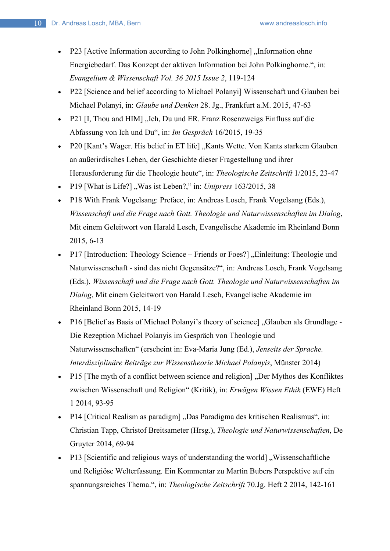- P23 [Active Information according to John Polkinghorne], Information ohne Energiebedarf. Das Konzept der aktiven Information bei John Polkinghorne.", in: *Evangelium & Wissenschaft Vol. 36 2015 Issue 2*, 119-124
- P22 [Science and belief according to Michael Polanyi] Wissenschaft und Glauben bei Michael Polanyi, in: *Glaube und Denken* 28. Jg., Frankfurt a.M. 2015, 47-63
- P21 [I, Thou and HIM], Ich, Du und ER. Franz Rosenzweigs Einfluss auf die Abfassung von Ich und Du", in: *Im Gespräch* 16/2015, 19-35
- P20 [Kant's Wager. His belief in ET life] "Kants Wette. Von Kants starkem Glauben an außerirdisches Leben, der Geschichte dieser Fragestellung und ihrer Herausforderung für die Theologie heute", in: *Theologische Zeitschrift* 1/2015, 23-47
- P19 [What is Life?] "Was ist Leben?," in: *Unipress* 163/2015, 38
- P18 With Frank Vogelsang: Preface, in: Andreas Losch, Frank Vogelsang (Eds.), *Wissenschaft und die Frage nach Gott. Theologie und Naturwissenschaften im Dialog*, Mit einem Geleitwort von Harald Lesch, Evangelische Akademie im Rheinland Bonn 2015, 6-13
- P17 [Introduction: Theology Science Friends or Foes?] "Einleitung: Theologie und Naturwissenschaft - sind das nicht Gegensätze?", in: Andreas Losch, Frank Vogelsang (Eds.), *Wissenschaft und die Frage nach Gott. Theologie und Naturwissenschaften im Dialog*, Mit einem Geleitwort von Harald Lesch, Evangelische Akademie im Rheinland Bonn 2015, 14-19
- P16 [Belief as Basis of Michael Polanyi's theory of science], Glauben als Grundlage -Die Rezeption Michael Polanyis im Gespräch von Theologie und Naturwissenschaften" (erscheint in: Eva-Maria Jung (Ed.), *Jenseits der Sprache. Interdisziplinäre Beiträge zur Wissenstheorie Michael Polanyis*, Münster 2014)
- P15 [The myth of a conflict between science and religion], Der Mythos des Konfliktes zwischen Wissenschaft und Religion" (Kritik), in: *Erwägen Wissen Ethik* (EWE) Heft 1 2014, 93-95
- P14 [Critical Realism as paradigm] "Das Paradigma des kritischen Realismus", in: Christian Tapp, Christof Breitsameter (Hrsg.), *Theologie und Naturwissenschaften*, De Gruyter 2014, 69-94
- P13 [Scientific and religious ways of understanding the world] "Wissenschaftliche" und Religiöse Welterfassung. Ein Kommentar zu Martin Bubers Perspektive auf ein spannungsreiches Thema.", in: *Theologische Zeitschrift* 70.Jg. Heft 2 2014, 142-161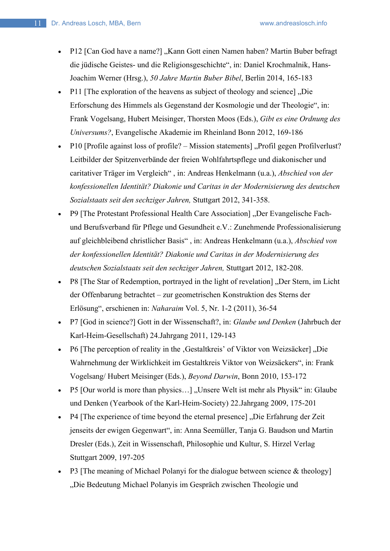- P12 [Can God have a name?] "Kann Gott einen Namen haben? Martin Buber befragt die jüdische Geistes- und die Religionsgeschichte", in: Daniel Krochmalnik, Hans-Joachim Werner (Hrsg.), *50 Jahre Martin Buber Bibel*, Berlin 2014, 165-183
- P11 [The exploration of the heavens as subject of theology and science], Die Erforschung des Himmels als Gegenstand der Kosmologie und der Theologie", in: Frank Vogelsang, Hubert Meisinger, Thorsten Moos (Eds.), *Gibt es eine Ordnung des Universums?*, Evangelische Akademie im Rheinland Bonn 2012, 169-186
- P10 [Profile against loss of profile? Mission statements], Profil gegen Profilverlust? Leitbilder der Spitzenverbände der freien Wohlfahrtspflege und diakonischer und caritativer Träger im Vergleich" , in: Andreas Henkelmann (u.a.), *Abschied von der konfessionellen Identität? Diakonie und Caritas in der Modernisierung des deutschen Sozialstaats seit den sechziger Jahren,* Stuttgart 2012, 341-358.
- P9 [The Protestant Professional Health Care Association] "Der Evangelische Fachund Berufsverband für Pflege und Gesundheit e.V.: Zunehmende Professionalisierung auf gleichbleibend christlicher Basis" , in: Andreas Henkelmann (u.a.), *Abschied von der konfessionellen Identität? Diakonie und Caritas in der Modernisierung des deutschen Sozialstaats seit den sechziger Jahren,* Stuttgart 2012, 182-208.
- P8 [The Star of Redemption, portrayed in the light of revelation], Der Stern, im Licht der Offenbarung betrachtet – zur geometrischen Konstruktion des Sterns der Erlösung", erschienen in: *Naharaim* Vol. 5, Nr. 1-2 (2011), 36-54
- P7 [God in science?] Gott in der Wissenschaft?, in: *Glaube und Denken* (Jahrbuch der Karl-Heim-Gesellschaft) 24.Jahrgang 2011, 129-143
- P6 [The perception of reality in the , Gestaltkreis' of Viktor von Weizsäcker] "Die Wahrnehmung der Wirklichkeit im Gestaltkreis Viktor von Weizsäckers", in: Frank Vogelsang/ Hubert Meisinger (Eds.), *Beyond Darwin*, Bonn 2010, 153-172
- P5 [Our world is more than physics...], Unsere Welt ist mehr als Physik" in: Glaube und Denken (Yearbook of the Karl-Heim-Society) 22.Jahrgang 2009, 175-201
- P4 [The experience of time beyond the eternal presence], Die Erfahrung der Zeit jenseits der ewigen Gegenwart", in: Anna Seemüller, Tanja G. Baudson und Martin Dresler (Eds.), Zeit in Wissenschaft, Philosophie und Kultur, S. Hirzel Verlag Stuttgart 2009, 197-205
- P3 [The meaning of Michael Polanyi for the dialogue between science & theology] "Die Bedeutung Michael Polanyis im Gespräch zwischen Theologie und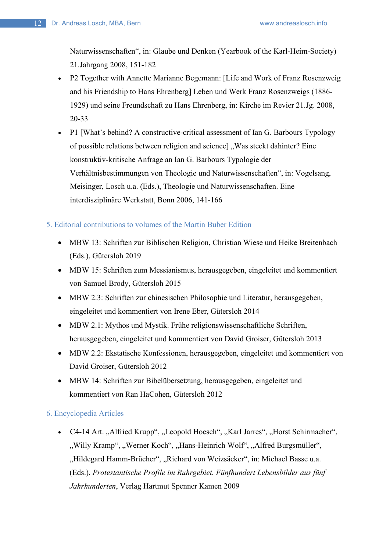Naturwissenschaften", in: Glaube und Denken (Yearbook of the Karl-Heim-Society) 21.Jahrgang 2008, 151-182

- P2 Together with Annette Marianne Begemann: [Life and Work of Franz Rosenzweig and his Friendship to Hans Ehrenberg] Leben und Werk Franz Rosenzweigs (1886- 1929) und seine Freundschaft zu Hans Ehrenberg, in: Kirche im Revier 21.Jg. 2008, 20-33
- P1 [What's behind? A constructive-critical assessment of Ian G. Barbours Typology of possible relations between religion and science], Was steckt dahinter? Eine konstruktiv-kritische Anfrage an Ian G. Barbours Typologie der Verhältnisbestimmungen von Theologie und Naturwissenschaften", in: Vogelsang, Meisinger, Losch u.a. (Eds.), Theologie und Naturwissenschaften. Eine interdisziplinäre Werkstatt, Bonn 2006, 141-166

## 5. Editorial contributions to volumes of the Martin Buber Edition

- MBW 13: Schriften zur Biblischen Religion, Christian Wiese und Heike Breitenbach (Eds.), Gütersloh 2019
- MBW 15: Schriften zum Messianismus, herausgegeben, eingeleitet und kommentiert von Samuel Brody, Gütersloh 2015
- MBW 2.3: Schriften zur chinesischen Philosophie und Literatur, herausgegeben, eingeleitet und kommentiert von Irene Eber, Gütersloh 2014
- MBW 2.1: Mythos und Mystik. Frühe religionswissenschaftliche Schriften, herausgegeben, eingeleitet und kommentiert von David Groiser, Gütersloh 2013
- MBW 2.2: Ekstatische Konfessionen, herausgegeben, eingeleitet und kommentiert von David Groiser, Gütersloh 2012
- MBW 14: Schriften zur Bibelübersetzung, herausgegeben, eingeleitet und kommentiert von Ran HaCohen, Gütersloh 2012

## 6. Encyclopedia Articles

• C4-14 Art. "Alfried Krupp", "Leopold Hoesch", "Karl Jarres", "Horst Schirmacher", ", Willy Kramp", "Werner Koch", "Hans-Heinrich Wolf", "Alfred Burgsmüller", "Hildegard Hamm-Brücher", "Richard von Weizsäcker", in: Michael Basse u.a. (Eds.), *Protestantische Profile im Ruhrgebiet. Fünfhundert Lebensbilder aus fünf Jahrhunderten*, Verlag Hartmut Spenner Kamen 2009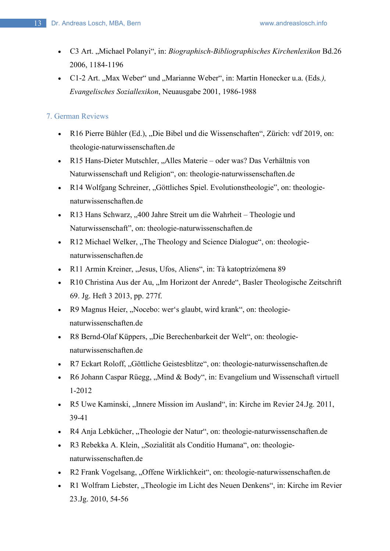- C3 Art. "Michael Polanyi", in: *Biographisch-Bibliographisches Kirchenlexikon* Bd.26 2006, 1184-1196
- C1-2 Art. "Max Weber" und "Marianne Weber", in: Martin Honecker u.a. (Eds.), *Evangelisches Soziallexikon*, Neuausgabe 2001, 1986-1988

# 7. German Reviews

- R16 Pierre Bühler (Ed.), "Die Bibel und die Wissenschaften", Zürich: vdf 2019, on: theologie-naturwissenschaften.de
- R15 Hans-Dieter Mutschler, "Alles Materie oder was? Das Verhältnis von Naturwissenschaft und Religion", on: theologie-naturwissenschaften.de
- R14 Wolfgang Schreiner, "Göttliches Spiel. Evolutionstheologie", on: theologienaturwissenschaften.de
- R13 Hans Schwarz, "400 Jahre Streit um die Wahrheit Theologie und Naturwissenschaft", on: theologie-naturwissenschaften.de
- R12 Michael Welker, "The Theology and Science Dialogue", on: theologienaturwissenschaften.de
- R11 Armin Kreiner, "Jesus, Ufos, Aliens", in: Tà katoptrizómena 89
- R10 Christina Aus der Au, "Im Horizont der Anrede", Basler Theologische Zeitschrift 69. Jg. Heft 3 2013, pp. 277f.
- R9 Magnus Heier, "Nocebo: wer's glaubt, wird krank", on: theologienaturwissenschaften.de
- R8 Bernd-Olaf Küppers, "Die Berechenbarkeit der Welt", on: theologienaturwissenschaften.de
- R7 Eckart Roloff, "Göttliche Geistesblitze", on: theologie-naturwissenschaften.de
- R6 Johann Caspar Rüegg, "Mind & Body", in: Evangelium und Wissenschaft virtuell 1-2012
- R5 Uwe Kaminski, "Innere Mission im Ausland", in: Kirche im Revier 24.Jg. 2011, 39-41
- R4 Anja Lebkücher, "Theologie der Natur", on: theologie-naturwissenschaften.de
- R3 Rebekka A. Klein, "Sozialität als Conditio Humana", on: theologienaturwissenschaften.de
- R2 Frank Vogelsang, "Offene Wirklichkeit", on: theologie-naturwissenschaften.de
- R1 Wolfram Liebster, "Theologie im Licht des Neuen Denkens", in: Kirche im Revier 23.Jg. 2010, 54-56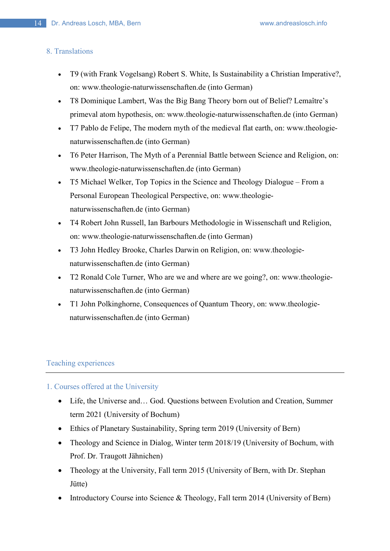### 8. Translations

- T9 (with Frank Vogelsang) Robert S. White, Is Sustainability a Christian Imperative?, on: www.theologie-naturwissenschaften.de (into German)
- T8 Dominique Lambert, Was the Big Bang Theory born out of Belief? Lemaître's primeval atom hypothesis, on: www.theologie-naturwissenschaften.de (into German)
- T7 Pablo de Felipe, The modern myth of the medieval flat earth, on: www.theologienaturwissenschaften.de (into German)
- T6 Peter Harrison, The Myth of a Perennial Battle between Science and Religion, on: www.theologie-naturwissenschaften.de (into German)
- T5 Michael Welker, Top Topics in the Science and Theology Dialogue From a Personal European Theological Perspective, on: www.theologienaturwissenschaften.de (into German)
- T4 Robert John Russell, Ian Barbours Methodologie in Wissenschaft und Religion, on: www.theologie-naturwissenschaften.de (into German)
- T3 John Hedley Brooke, Charles Darwin on Religion, on: www.theologienaturwissenschaften.de (into German)
- T2 Ronald Cole Turner, Who are we and where are we going?, on: www.theologienaturwissenschaften.de (into German)
- T1 John Polkinghorne, Consequences of Quantum Theory, on: www.theologienaturwissenschaften.de (into German)

## Teaching experiences

## 1. Courses offered at the University

- Life, the Universe and... God. Questions between Evolution and Creation, Summer term 2021 (University of Bochum)
- Ethics of Planetary Sustainability, Spring term 2019 (University of Bern)
- Theology and Science in Dialog, Winter term 2018/19 (University of Bochum, with Prof. Dr. Traugott Jähnichen)
- Theology at the University, Fall term 2015 (University of Bern, with Dr. Stephan Jütte)
- Introductory Course into Science & Theology, Fall term 2014 (University of Bern)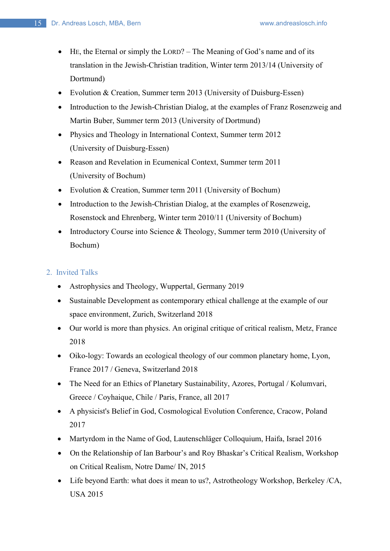- HE, the Eternal or simply the LORD? The Meaning of God's name and of its translation in the Jewish-Christian tradition, Winter term 2013/14 (University of Dortmund)
- Evolution & Creation, Summer term 2013 (University of Duisburg-Essen)
- Introduction to the Jewish-Christian Dialog, at the examples of Franz Rosenzweig and Martin Buber, Summer term 2013 (University of Dortmund)
- Physics and Theology in International Context, Summer term 2012 (University of Duisburg-Essen)
- Reason and Revelation in Ecumenical Context, Summer term 2011 (University of Bochum)
- Evolution & Creation, Summer term 2011 (University of Bochum)
- Introduction to the Jewish-Christian Dialog, at the examples of Rosenzweig, Rosenstock and Ehrenberg, Winter term 2010/11 (University of Bochum)
- Introductory Course into Science & Theology, Summer term 2010 (University of Bochum)

## 2. Invited Talks

- Astrophysics and Theology, Wuppertal, Germany 2019
- Sustainable Development as contemporary ethical challenge at the example of our space environment, Zurich, Switzerland 2018
- Our world is more than physics. An original critique of critical realism, Metz, France 2018
- Oiko-logy: Towards an ecological theology of our common planetary home, Lyon, France 2017 / Geneva, Switzerland 2018
- The Need for an Ethics of Planetary Sustainability, Azores, Portugal / Kolumvari, Greece / Coyhaique, Chile / Paris, France, all 2017
- A physicist's Belief in God, Cosmological Evolution Conference, Cracow, Poland 2017
- Martyrdom in the Name of God, Lautenschläger Colloquium, Haifa, Israel 2016
- On the Relationship of Ian Barbour's and Roy Bhaskar's Critical Realism, Workshop on Critical Realism, Notre Dame/ IN, 2015
- Life beyond Earth: what does it mean to us?, Astrotheology Workshop, Berkeley /CA, USA 2015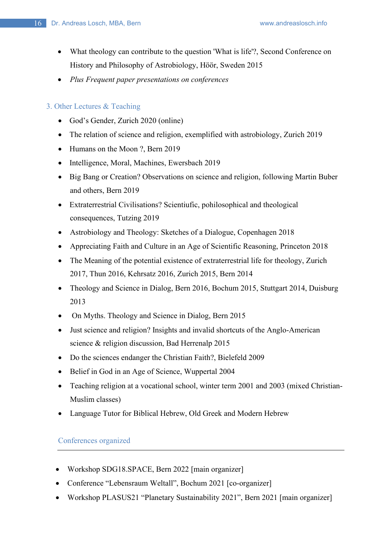- What theology can contribute to the question 'What is life'?, Second Conference on History and Philosophy of Astrobiology, Höör, Sweden 2015
- *Plus Frequent paper presentations on conferences*

## 3. Other Lectures & Teaching

- God's Gender, Zurich 2020 (online)
- The relation of science and religion, exemplified with astrobiology, Zurich 2019
- Humans on the Moon ?, Bern 2019
- Intelligence, Moral, Machines, Ewersbach 2019
- Big Bang or Creation? Observations on science and religion, following Martin Buber and others, Bern 2019
- Extraterrestrial Civilisations? Scientiufic, pohilosophical and theological consequences, Tutzing 2019
- Astrobiology and Theology: Sketches of a Dialogue, Copenhagen 2018
- Appreciating Faith and Culture in an Age of Scientific Reasoning, Princeton 2018
- The Meaning of the potential existence of extraterrestrial life for theology, Zurich 2017, Thun 2016, Kehrsatz 2016, Zurich 2015, Bern 2014
- Theology and Science in Dialog, Bern 2016, Bochum 2015, Stuttgart 2014, Duisburg 2013
- On Myths. Theology and Science in Dialog, Bern 2015
- Just science and religion? Insights and invalid shortcuts of the Anglo-American science & religion discussion, Bad Herrenalp 2015
- Do the sciences endanger the Christian Faith?, Bielefeld 2009
- Belief in God in an Age of Science, Wuppertal 2004
- Teaching religion at a vocational school, winter term 2001 and 2003 (mixed Christian-Muslim classes)
- Language Tutor for Biblical Hebrew, Old Greek and Modern Hebrew

Conferences organized

- Workshop SDG18.SPACE, Bern 2022 [main organizer]
- Conference "Lebensraum Weltall", Bochum 2021 [co-organizer]
- Workshop PLASUS21 "Planetary Sustainability 2021", Bern 2021 [main organizer]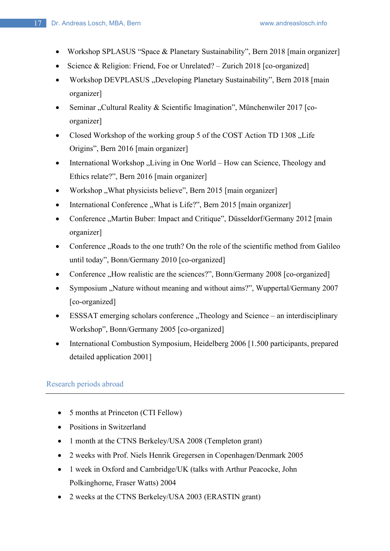- Workshop SPLASUS "Space & Planetary Sustainability", Bern 2018 [main organizer]
- Science & Religion: Friend, Foe or Unrelated? Zurich 2018 [co-organized]
- Workshop DEVPLASUS, Developing Planetary Sustainability", Bern 2018 [main organizer]
- Seminar "Cultural Reality & Scientific Imagination", Münchenwiler 2017 [coorganizer]
- Closed Workshop of the working group 5 of the COST Action TD 1308 . Life Origins", Bern 2016 [main organizer]
- International Workshop "Living in One World How can Science, Theology and Ethics relate?", Bern 2016 [main organizer]
- Workshop "What physicists believe", Bern 2015 [main organizer]
- International Conference "What is Life?", Bern 2015 [main organizer]
- Conference "Martin Buber: Impact and Critique", Düsseldorf/Germany 2012 [main organizer]
- Conference "Roads to the one truth? On the role of the scientific method from Galileo until today", Bonn/Germany 2010 [co-organized]
- Conference "How realistic are the sciences?", Bonn/Germany 2008 [co-organized]
- Symposium "Nature without meaning and without aims?", Wuppertal/Germany 2007 [co-organized]
- ESSSAT emerging scholars conference "Theology and Science an interdisciplinary Workshop", Bonn/Germany 2005 [co-organized]
- International Combustion Symposium, Heidelberg 2006 [1.500 participants, prepared detailed application 2001]

# Research periods abroad

- 5 months at Princeton (CTI Fellow)
- Positions in Switzerland
- 1 month at the CTNS Berkeley/USA 2008 (Templeton grant)
- 2 weeks with Prof. Niels Henrik Gregersen in Copenhagen/Denmark 2005
- 1 week in Oxford and Cambridge/UK (talks with Arthur Peacocke, John Polkinghorne, Fraser Watts) 2004
- 2 weeks at the CTNS Berkeley/USA 2003 (ERASTIN grant)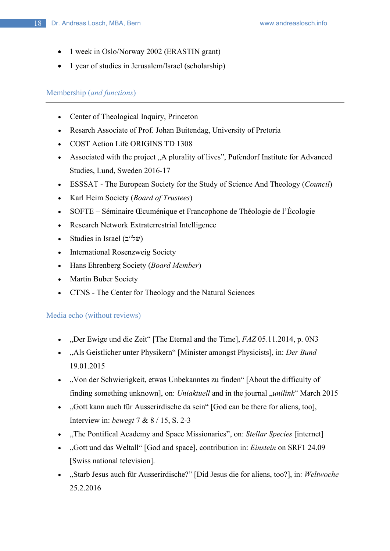- 1 week in Oslo/Norway 2002 (ERASTIN grant)
- 1 year of studies in Jerusalem/Israel (scholarship)

# Membership (*and functions*)

- Center of Theological Inquiry, Princeton
- Resarch Associate of Prof. Johan Buitendag, University of Pretoria
- COST Action Life ORIGINS TD 1308
- Associated with the project "A plurality of lives", Pufendorf Institute for Advanced Studies, Lund, Sweden 2016-17
- ESSSAT The European Society for the Study of Science And Theology (*Council*)
- Karl Heim Society (*Board of Trustees*)
- SOFTE Séminaire Œcuménique et Francophone de Théologie de l'Écologie
- Research Network Extraterrestrial Intelligence
- Studies in Israel  $(2^{\omega} \forall w)$
- International Rosenzweig Society
- Hans Ehrenberg Society (*Board Member*)
- Martin Buber Society
- CTNS The Center for Theology and the Natural Sciences

### Media echo (without reviews)

- "Der Ewige und die Zeit" [The Eternal and the Time], *FAZ* 05.11.2014, p. 0N3
- "Als Geistlicher unter Physikern" [Minister amongst Physicists], in: *Der Bund* 19.01.2015
- "Von der Schwierigkeit, etwas Unbekanntes zu finden" [About the difficulty of finding something unknown], on: *Uniaktuell* and in the journal "*unilink*" March 2015
- "Gott kann auch für Ausserirdische da sein" [God can be there for aliens, too], Interview in: *bewegt* 7 & 8 / 15, S. 2-3
- "The Pontifical Academy and Space Missionaries", on: *Stellar Species* [internet]
- "Gott und das Weltall" [God and space], contribution in: *Einstein* on SRF1 24.09 [Swiss national television].
- "Starb Jesus auch für Ausserirdische?" [Did Jesus die for aliens, too?], in: *Weltwoche* 25.2.2016